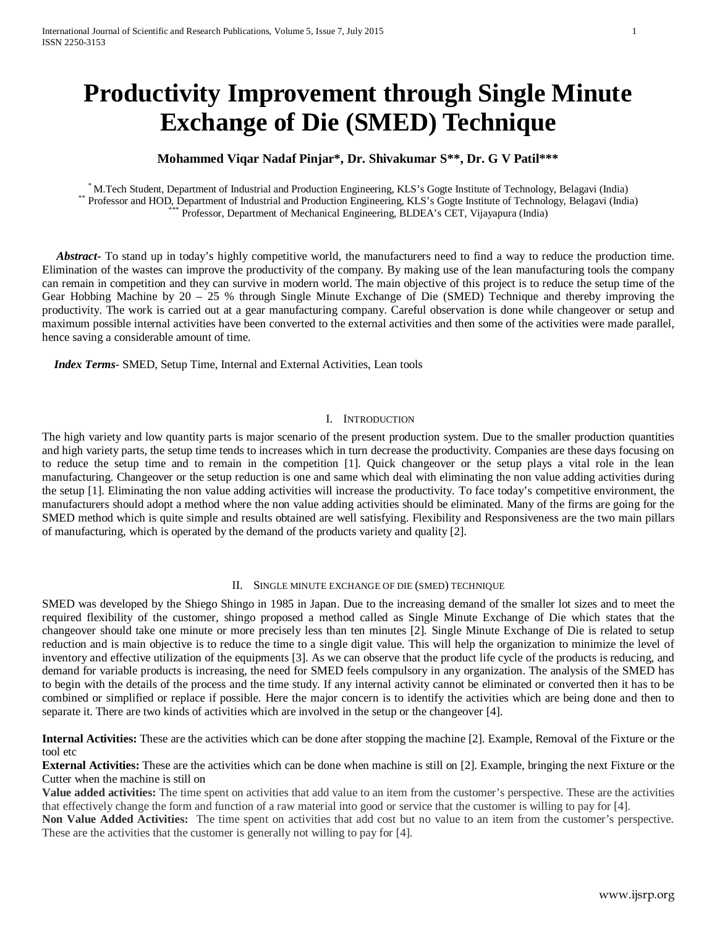# **Productivity Improvement through Single Minute Exchange of Die (SMED) Technique**

## **Mohammed Viqar Nadaf Pinjar\*, Dr. Shivakumar S\*\*, Dr. G V Patil\*\*\***

\* M.Tech Student, Department of Industrial and Production Engineering, KLS's Gogte Institute of Technology, Belagavi (India)<br>Professor and HOD, Department of Industrial and Production Engineering, KLS's Gogte Institute of

 *Abstract***-** To stand up in today's highly competitive world, the manufacturers need to find a way to reduce the production time. Elimination of the wastes can improve the productivity of the company. By making use of the lean manufacturing tools the company can remain in competition and they can survive in modern world. The main objective of this project is to reduce the setup time of the Gear Hobbing Machine by 20 – 25 % through Single Minute Exchange of Die (SMED) Technique and thereby improving the productivity. The work is carried out at a gear manufacturing company. Careful observation is done while changeover or setup and maximum possible internal activities have been converted to the external activities and then some of the activities were made parallel, hence saving a considerable amount of time.

 *Index Terms*- SMED, Setup Time, Internal and External Activities, Lean tools

## I. INTRODUCTION

The high variety and low quantity parts is major scenario of the present production system. Due to the smaller production quantities and high variety parts, the setup time tends to increases which in turn decrease the productivity. Companies are these days focusing on to reduce the setup time and to remain in the competition [1]. Quick changeover or the setup plays a vital role in the lean manufacturing. Changeover or the setup reduction is one and same which deal with eliminating the non value adding activities during the setup [1]. Eliminating the non value adding activities will increase the productivity. To face today's competitive environment, the manufacturers should adopt a method where the non value adding activities should be eliminated. Many of the firms are going for the SMED method which is quite simple and results obtained are well satisfying. Flexibility and Responsiveness are the two main pillars of manufacturing, which is operated by the demand of the products variety and quality [2].

### II. SINGLE MINUTE EXCHANGE OF DIE (SMED) TECHNIQUE

SMED was developed by the Shiego Shingo in 1985 in Japan. Due to the increasing demand of the smaller lot sizes and to meet the required flexibility of the customer, shingo proposed a method called as Single Minute Exchange of Die which states that the changeover should take one minute or more precisely less than ten minutes [2]. Single Minute Exchange of Die is related to setup reduction and is main objective is to reduce the time to a single digit value. This will help the organization to minimize the level of inventory and effective utilization of the equipments [3]. As we can observe that the product life cycle of the products is reducing, and demand for variable products is increasing, the need for SMED feels compulsory in any organization. The analysis of the SMED has to begin with the details of the process and the time study. If any internal activity cannot be eliminated or converted then it has to be combined or simplified or replace if possible. Here the major concern is to identify the activities which are being done and then to separate it. There are two kinds of activities which are involved in the setup or the changeover [4].

**Internal Activities:** These are the activities which can be done after stopping the machine [2]. Example, Removal of the Fixture or the tool etc

**External Activities:** These are the activities which can be done when machine is still on [2]. Example, bringing the next Fixture or the Cutter when the machine is still on

**Value added activities:** The time spent on activities that add value to an item from the customer's perspective. These are the activities that effectively change the form and function of a raw material into good or service that the customer is willing to pay for [4].

**Non Value Added Activities:** The time spent on activities that add cost but no value to an item from the customer's perspective. These are the activities that the customer is generally not willing to pay for [4].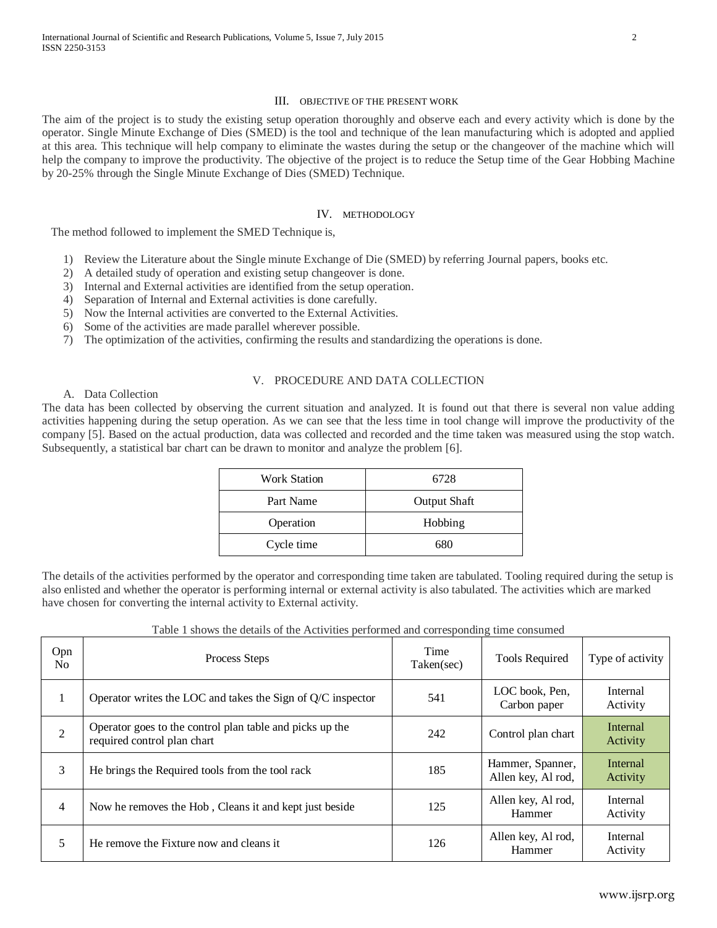## III. OBJECTIVE OF THE PRESENT WORK

The aim of the project is to study the existing setup operation thoroughly and observe each and every activity which is done by the operator. Single Minute Exchange of Dies (SMED) is the tool and technique of the lean manufacturing which is adopted and applied at this area. This technique will help company to eliminate the wastes during the setup or the changeover of the machine which will help the company to improve the productivity. The objective of the project is to reduce the Setup time of the Gear Hobbing Machine by 20-25% through the Single Minute Exchange of Dies (SMED) Technique.

## IV. METHODOLOGY

The method followed to implement the SMED Technique is,

- 1) Review the Literature about the Single minute Exchange of Die (SMED) by referring Journal papers, books etc.
- 2) A detailed study of operation and existing setup changeover is done.
- 3) Internal and External activities are identified from the setup operation.
- 4) Separation of Internal and External activities is done carefully.
- 5) Now the Internal activities are converted to the External Activities.
- 6) Some of the activities are made parallel wherever possible.
- 7) The optimization of the activities, confirming the results and standardizing the operations is done.

## V. PROCEDURE AND DATA COLLECTION

A. Data Collection

Opn

The data has been collected by observing the current situation and analyzed. It is found out that there is several non value adding activities happening during the setup operation. As we can see that the less time in tool change will improve the productivity of the company [5]. Based on the actual production, data was collected and recorded and the time taken was measured using the stop watch. Subsequently, a statistical bar chart can be drawn to monitor and analyze the problem [6].

| <b>Work Station</b> | 6728                |
|---------------------|---------------------|
| Part Name           | <b>Output Shaft</b> |
| Operation           | Hobbing             |
| Cycle time          | 680                 |

The details of the activities performed by the operator and corresponding time taken are tabulated. Tooling required during the setup is also enlisted and whether the operator is performing internal or external activity is also tabulated. The activities which are marked have chosen for converting the internal activity to External activity.

| <b>Opn</b><br>No | Process Steps                                                                           | Time<br>Taken(sec) | <b>Tools Required</b>          | Type of activity     |
|------------------|-----------------------------------------------------------------------------------------|--------------------|--------------------------------|----------------------|
|                  | Operator writes the LOC and takes the Sign of $Q/C$ inspector                           | 541                | LOC book, Pen,<br>Carbon paper | Internal<br>Activity |
| 2                | Operator goes to the control plan table and picks up the<br>required control plan chart | 242                | Control plan chart             | Internal<br>Activity |
|                  |                                                                                         |                    |                                |                      |

 $\begin{array}{c|c|c|c|c|c} \hline 3 & \text{He brings the Required tools from the tool rock} \end{array}$  185 Hammer, Spanner, 187 Hammer, Spanner, 187 Hammer, Spanner, 187 Hammer, 187 Hammer, 187 Hammer, 187 Hammer, 187 Hammer, 188 Hammer, 188 Hammer, 188 Hammer, 188 Hammer, 188 Ha

 $\begin{array}{c|c|c|c|c} \n4 & \text{Now he removes the Hob, Cleans it and kept just beside} & & & \n125 & \text{Allen key, Al rod,} \n\end{array}$ 

<sup>5</sup> He remove the Fixture now and cleans it <sup>126</sup> Allen key, Al rod,

Table 1 shows the details of the Activities performed and corresponding time consumed

Internal Activity

Internal Activity

Internal Activity

Allen key, Al rod,

Hammer

Hammer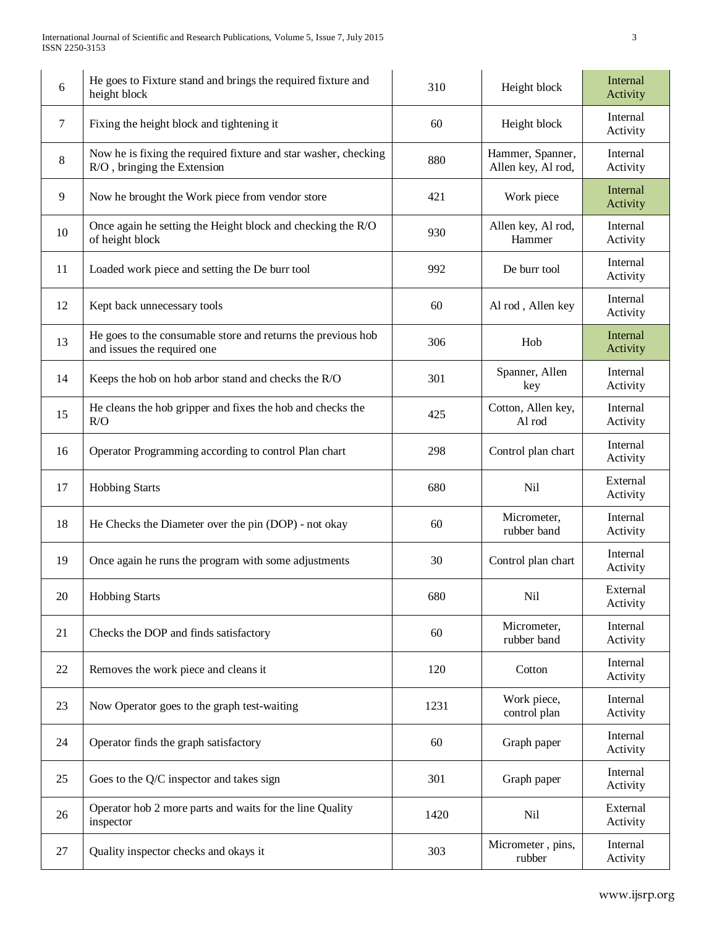| 6  | He goes to Fixture stand and brings the required fixture and<br>height block                   | 310  | Height block                           | Internal<br>Activity |
|----|------------------------------------------------------------------------------------------------|------|----------------------------------------|----------------------|
| 7  | Fixing the height block and tightening it                                                      | 60   | Height block                           | Internal<br>Activity |
| 8  | Now he is fixing the required fixture and star washer, checking<br>R/O, bringing the Extension | 880  | Hammer, Spanner,<br>Allen key, Al rod, | Internal<br>Activity |
| 9  | Now he brought the Work piece from vendor store                                                | 421  | Work piece                             | Internal<br>Activity |
| 10 | Once again he setting the Height block and checking the R/O<br>of height block                 | 930  | Allen key, Al rod,<br>Hammer           | Internal<br>Activity |
| 11 | Loaded work piece and setting the De burr tool                                                 | 992  | De burr tool                           | Internal<br>Activity |
| 12 | Kept back unnecessary tools                                                                    | 60   | Al rod, Allen key                      | Internal<br>Activity |
| 13 | He goes to the consumable store and returns the previous hob<br>and issues the required one    | 306  | Hob                                    | Internal<br>Activity |
| 14 | Keeps the hob on hob arbor stand and checks the R/O                                            | 301  | Spanner, Allen<br>key                  | Internal<br>Activity |
| 15 | He cleans the hob gripper and fixes the hob and checks the<br>R/O                              | 425  | Cotton, Allen key,<br>Al rod           | Internal<br>Activity |
| 16 | Operator Programming according to control Plan chart                                           | 298  | Control plan chart                     | Internal<br>Activity |
| 17 | <b>Hobbing Starts</b>                                                                          | 680  | <b>Nil</b>                             | External<br>Activity |
| 18 | He Checks the Diameter over the pin (DOP) - not okay                                           | 60   | Micrometer,<br>rubber band             | Internal<br>Activity |
| 19 | Once again he runs the program with some adjustments                                           | 30   | Control plan chart                     | Internal<br>Activity |
| 20 | <b>Hobbing Starts</b>                                                                          | 680  | Nil                                    | External<br>Activity |
| 21 | Checks the DOP and finds satisfactory                                                          | 60   | Micrometer,<br>rubber band             | Internal<br>Activity |
| 22 | Removes the work piece and cleans it                                                           | 120  | Cotton                                 | Internal<br>Activity |
| 23 | Now Operator goes to the graph test-waiting                                                    | 1231 | Work piece,<br>control plan            | Internal<br>Activity |
| 24 | Operator finds the graph satisfactory                                                          | 60   | Graph paper                            | Internal<br>Activity |
| 25 | Goes to the Q/C inspector and takes sign                                                       | 301  | Graph paper                            | Internal<br>Activity |
| 26 | Operator hob 2 more parts and waits for the line Quality<br>inspector                          | 1420 | <b>Nil</b>                             | External<br>Activity |
| 27 | Quality inspector checks and okays it                                                          | 303  | Micrometer, pins,<br>rubber            | Internal<br>Activity |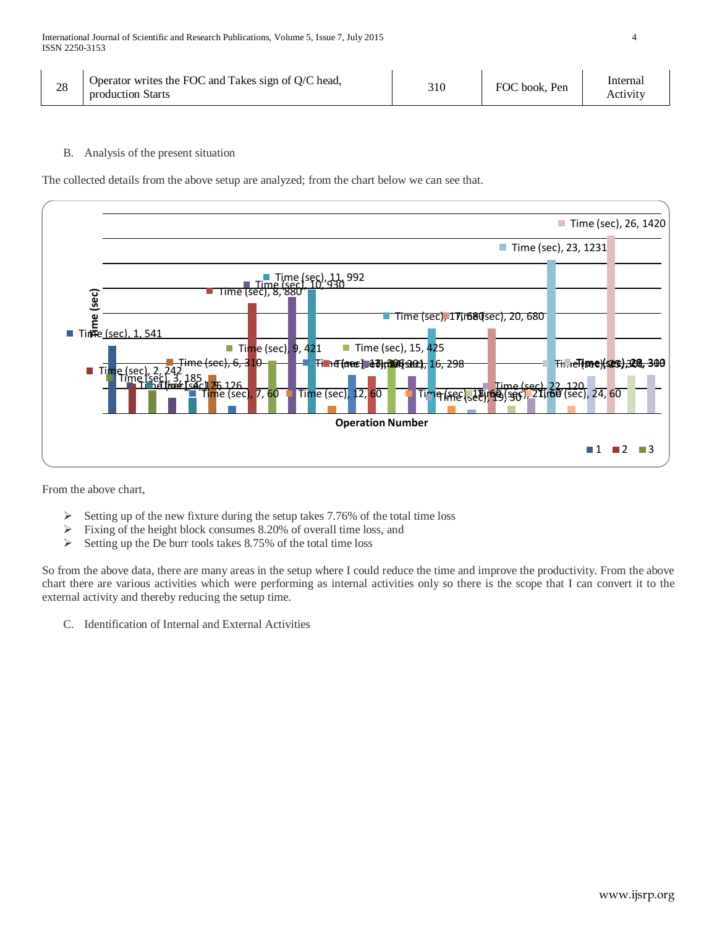| 28 | Operator writes the FOC and Takes sign of Q/C head,<br>production Starts | 310 | FOC book. Pen | Internal<br>Activity |
|----|--------------------------------------------------------------------------|-----|---------------|----------------------|
|----|--------------------------------------------------------------------------|-----|---------------|----------------------|

B. Analysis of the present situation

The collected details from the above setup are analyzed; from the chart below we can see that.



From the above chart,

- Setting up of the new fixture during the setup takes 7.76% of the total time loss  $\geq$  Fixing of the height block consumes 8.20% of overall time loss, and
- Fixing of the height block consumes 8.20% of overall time loss, and
- $\triangleright$  Setting up the De burr tools takes 8.75% of the total time loss

So from the above data, there are many areas in the setup where I could reduce the time and improve the productivity. From the above chart there are various activities which were performing as internal activities only so there is the scope that I can convert it to the external activity and thereby reducing the setup time.

C. Identification of Internal and External Activities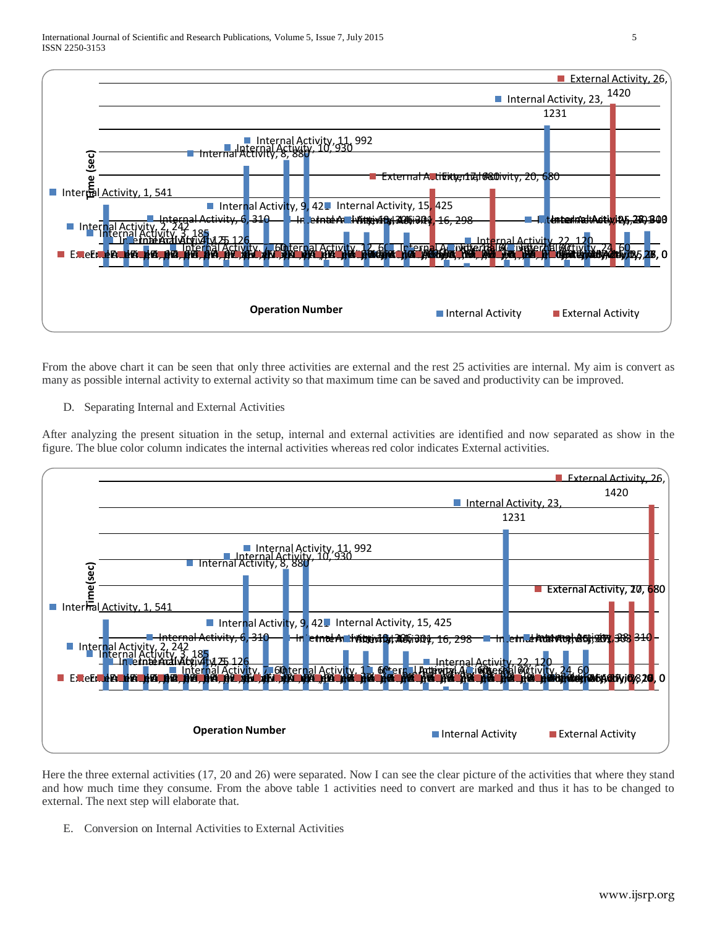

From the above chart it can be seen that only three activities are external and the rest 25 activities are internal. My aim is convert as many as possible internal activity to external activity so that maximum time can be saved and productivity can be improved.

D. Separating Internal and External Activities

After analyzing the present situation in the setup, internal and external activities are identified and now separated as show in the figure. The blue color column indicates the internal activities whereas red color indicates External activities.



Here the three external activities (17, 20 and 26) were separated. Now I can see the clear picture of the activities that where they stand and how much time they consume. From the above table 1 activities need to convert are marked and thus it has to be changed to external. The next step will elaborate that.

E. Conversion on Internal Activities to External Activities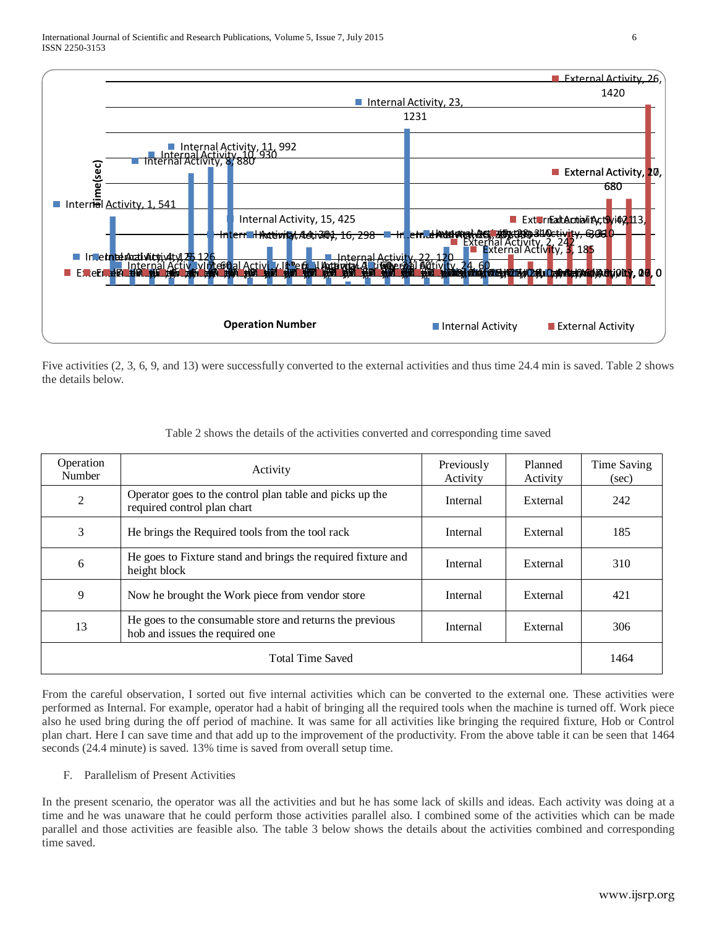

Five activities (2, 3, 6, 9, and 13) were successfully converted to the external activities and thus time 24.4 min is saved. Table 2 shows the details below.

| Operation<br>Number                                                                               | Activity                                                                                | Previously<br>Activity | Planned<br>Activity | Time Saving<br>(sec) |
|---------------------------------------------------------------------------------------------------|-----------------------------------------------------------------------------------------|------------------------|---------------------|----------------------|
| $\mathfrak{2}$                                                                                    | Operator goes to the control plan table and picks up the<br>required control plan chart |                        | External            | 242                  |
| 3                                                                                                 | He brings the Required tools from the tool rack                                         | Internal               | External            | 185                  |
| 6                                                                                                 | He goes to Fixture stand and brings the required fixture and<br>height block            | Internal               | External            | 310                  |
| 9                                                                                                 | Now he brought the Work piece from vendor store                                         | Internal               | External            | 421                  |
| He goes to the consumable store and returns the previous<br>13<br>hob and issues the required one |                                                                                         | Internal               | External            | 306                  |
| <b>Total Time Saved</b>                                                                           |                                                                                         |                        |                     | 1464                 |

|  | Table 2 shows the details of the activities converted and corresponding time saved |
|--|------------------------------------------------------------------------------------|
|  |                                                                                    |

From the careful observation, I sorted out five internal activities which can be converted to the external one. These activities were performed as Internal. For example, operator had a habit of bringing all the required tools when the machine is turned off. Work piece also he used bring during the off period of machine. It was same for all activities like bringing the required fixture, Hob or Control plan chart. Here I can save time and that add up to the improvement of the productivity. From the above table it can be seen that 1464 seconds (24.4 minute) is saved. 13% time is saved from overall setup time.

## F. Parallelism of Present Activities

In the present scenario, the operator was all the activities and but he has some lack of skills and ideas. Each activity was doing at a time and he was unaware that he could perform those activities parallel also. I combined some of the activities which can be made parallel and those activities are feasible also. The table 3 below shows the details about the activities combined and corresponding time saved.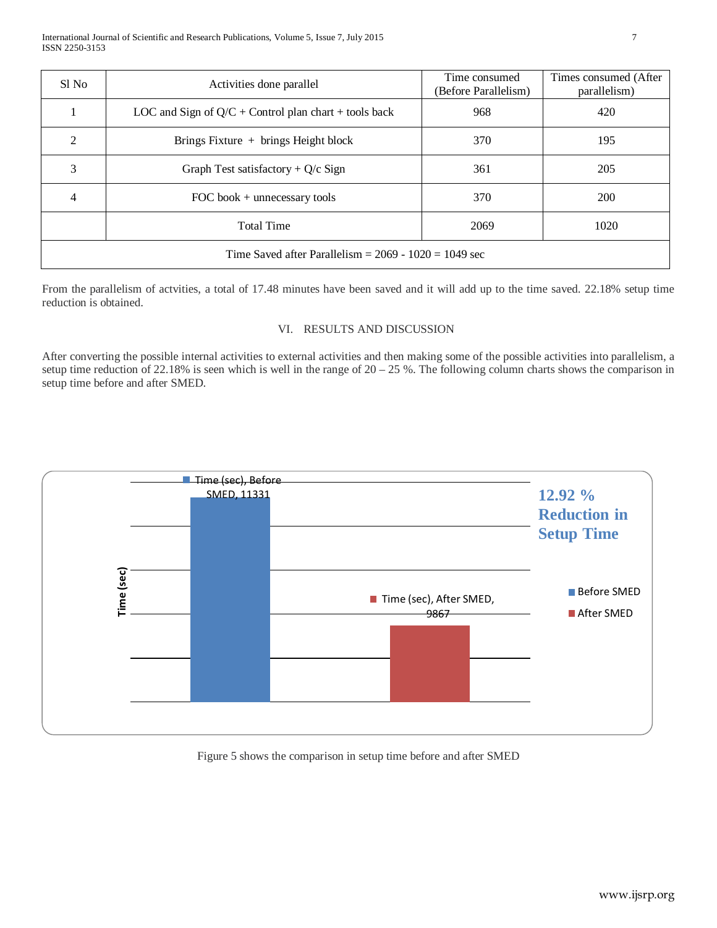| Sl No                                                   | Activities done parallel                                | Time consumed<br>(Before Parallelism) | Times consumed (After)<br>parallelism) |  |
|---------------------------------------------------------|---------------------------------------------------------|---------------------------------------|----------------------------------------|--|
|                                                         | LOC and Sign of $Q/C$ + Control plan chart + tools back | 968                                   | 420                                    |  |
| $\mathcal{D}_{\mathcal{L}}$                             | Brings Fixture $+$ brings Height block                  | 370                                   | 195                                    |  |
| 3                                                       | Graph Test satisfactory + $Q/c$ Sign                    | 361                                   | 205                                    |  |
| 4                                                       | FOC book $+$ unnecessary tools                          | 370                                   | <b>200</b>                             |  |
|                                                         | <b>Total Time</b>                                       | 2069                                  | 1020                                   |  |
| Time Saved after Parallelism = $2069 - 1020 = 1049$ sec |                                                         |                                       |                                        |  |

From the parallelism of actvities, a total of 17.48 minutes have been saved and it will add up to the time saved. 22.18% setup time reduction is obtained.

## VI. RESULTS AND DISCUSSION

After converting the possible internal activities to external activities and then making some of the possible activities into parallelism, a setup time reduction of 22.18% is seen which is well in the range of  $20 - 25$ %. The following column charts shows the comparison in setup time before and after SMED.



Figure 5 shows the comparison in setup time before and after SMED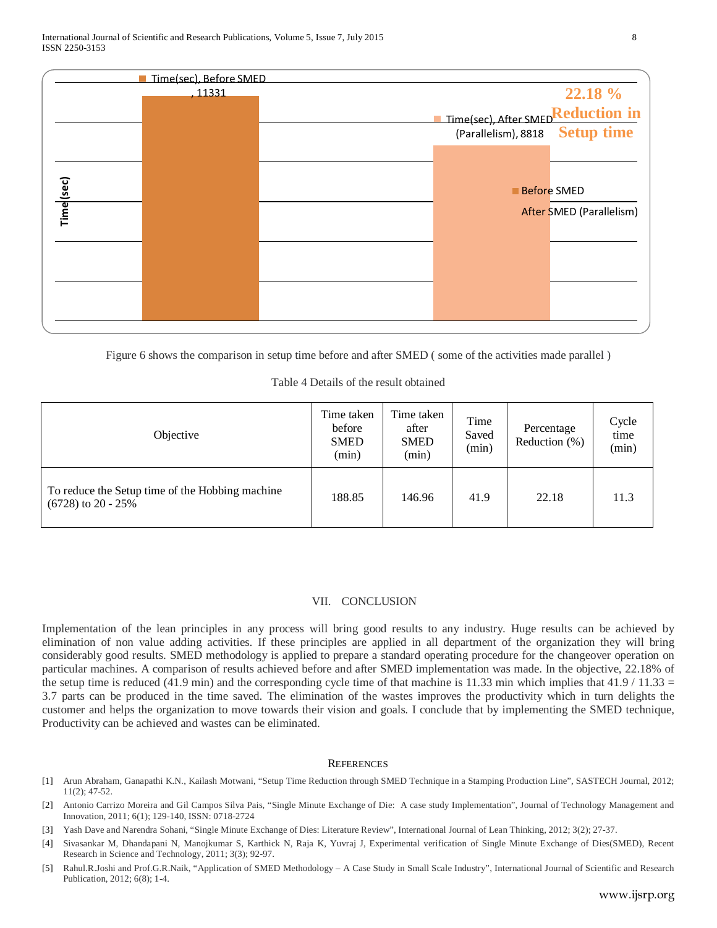|            | Time(sec), Before SMED |                                   |                          |
|------------|------------------------|-----------------------------------|--------------------------|
|            | , 11331                |                                   | 22.18 %                  |
|            |                        | Time(sec), After SMEDReduction in |                          |
|            |                        | (Parallelism), 8818 Setup time    |                          |
|            |                        |                                   |                          |
|            |                        |                                   | <b>Before SMED</b>       |
| Time (sec) |                        |                                   | After SMED (Parallelism) |
|            |                        |                                   |                          |
|            |                        |                                   |                          |
|            |                        |                                   |                          |

Figure 6 shows the comparison in setup time before and after SMED ( some of the activities made parallel )

|  |  | Table 4 Details of the result obtained |
|--|--|----------------------------------------|
|  |  |                                        |

| Objective                                                               | Time taken<br>before<br><b>SMED</b><br>(min) | Time taken<br>after<br><b>SMED</b><br>(min) | Time<br>Saved<br>(min) | Percentage<br>Reduction $(\%)$ | Cycle<br>time<br>(min) |
|-------------------------------------------------------------------------|----------------------------------------------|---------------------------------------------|------------------------|--------------------------------|------------------------|
| To reduce the Setup time of the Hobbing machine<br>$(6728)$ to 20 - 25% | 188.85                                       | 146.96                                      | 41.9                   | 22.18                          | 11.3                   |

### VII. CONCLUSION

Implementation of the lean principles in any process will bring good results to any industry. Huge results can be achieved by elimination of non value adding activities. If these principles are applied in all department of the organization they will bring considerably good results. SMED methodology is applied to prepare a standard operating procedure for the changeover operation on particular machines. A comparison of results achieved before and after SMED implementation was made. In the objective, 22.18% of the setup time is reduced (41.9 min) and the corresponding cycle time of that machine is 11.33 min which implies that  $41.9 / 11.33 =$ 3.7 parts can be produced in the time saved. The elimination of the wastes improves the productivity which in turn delights the customer and helps the organization to move towards their vision and goals. I conclude that by implementing the SMED technique, Productivity can be achieved and wastes can be eliminated.

#### **REFERENCES**

- [1] Arun Abraham, Ganapathi K.N., Kailash Motwani, "Setup Time Reduction through SMED Technique in a Stamping Production Line", SASTECH Journal, 2012; 11(2); 47-52.
- [2] Antonio Carrizo Moreira and Gil Campos Silva Pais, "Single Minute Exchange of Die: A case study Implementation", Journal of Technology Management and Innovation, 2011; 6(1); 129-140, ISSN: 0718-2724
- [3] Yash Dave and Narendra Sohani, "Single Minute Exchange of Dies: Literature Review", International Journal of Lean Thinking, 2012; 3(2); 27-37.
- [4] Sivasankar M, Dhandapani N, Manojkumar S, Karthick N, Raja K, Yuvraj J, Experimental verification of Single Minute Exchange of Dies(SMED), Recent Research in Science and Technology, 2011; 3(3); 92-97.
- [5] Rahul.R.Joshi and Prof.G.R.Naik, "Application of SMED Methodology A Case Study in Small Scale Industry", International Journal of Scientific and Research Publication, 2012; 6(8); 1-4.